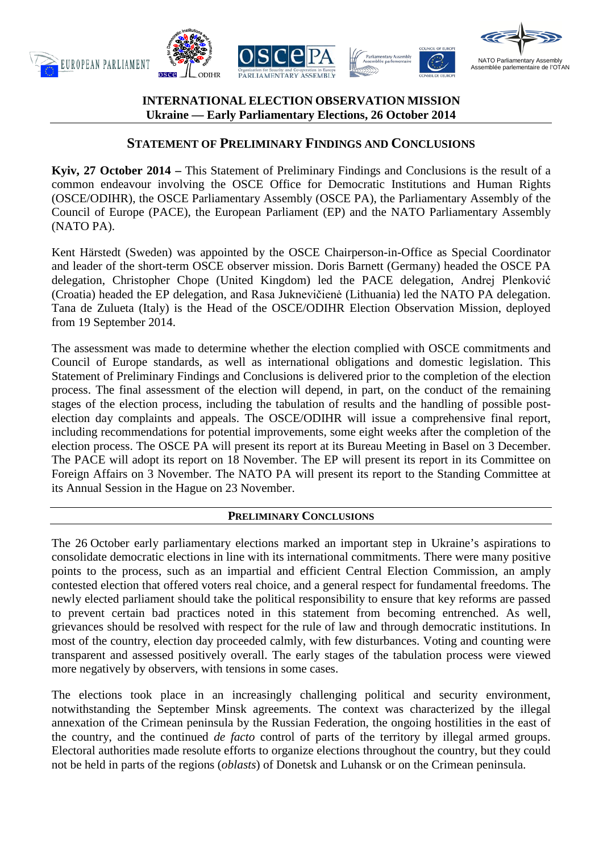

# **INTERNATIONAL ELECTION OBSERVATION MISSION Ukraine — Early Parliamentary Elections, 26 October 2014**

# **STATEMENT OF PRELIMINARY FINDINGS AND CONCLUSIONS**

**Kyiv, 27 October 2014 –** This Statement of Preliminary Findings and Conclusions is the result of a common endeavour involving the OSCE Office for Democratic Institutions and Human Rights (OSCE/ODIHR), the OSCE Parliamentary Assembly (OSCE PA), the Parliamentary Assembly of the Council of Europe (PACE), the European Parliament (EP) and the NATO Parliamentary Assembly (NATO PA).

Kent Härstedt (Sweden) was appointed by the OSCE Chairperson-in-Office as Special Coordinator and leader of the short-term OSCE observer mission. Doris Barnett (Germany) headed the OSCE PA delegation, Christopher Chope (United Kingdom) led the PACE delegation, Andrej Plenković (Croatia) headed the EP delegation, and Rasa Juknevičienė (Lithuania) led the NATO PA delegation. Tana de Zulueta (Italy) is the Head of the OSCE/ODIHR Election Observation Mission, deployed from 19 September 2014.

The assessment was made to determine whether the election complied with OSCE commitments and Council of Europe standards, as well as international obligations and domestic legislation. This Statement of Preliminary Findings and Conclusions is delivered prior to the completion of the election process. The final assessment of the election will depend, in part, on the conduct of the remaining stages of the election process, including the tabulation of results and the handling of possible postelection day complaints and appeals. The OSCE/ODIHR will issue a comprehensive final report, including recommendations for potential improvements, some eight weeks after the completion of the election process. The OSCE PA will present its report at its Bureau Meeting in Basel on 3 December. The PACE will adopt its report on 18 November. The EP will present its report in its Committee on Foreign Affairs on 3 November. The NATO PA will present its report to the Standing Committee at its Annual Session in the Hague on 23 November.

# **PRELIMINARY CONCLUSIONS**

The 26 October early parliamentary elections marked an important step in Ukraine's aspirations to consolidate democratic elections in line with its international commitments. There were many positive points to the process, such as an impartial and efficient Central Election Commission, an amply contested election that offered voters real choice, and a general respect for fundamental freedoms. The newly elected parliament should take the political responsibility to ensure that key reforms are passed to prevent certain bad practices noted in this statement from becoming entrenched. As well, grievances should be resolved with respect for the rule of law and through democratic institutions. In most of the country, election day proceeded calmly, with few disturbances. Voting and counting were transparent and assessed positively overall. The early stages of the tabulation process were viewed more negatively by observers, with tensions in some cases.

The elections took place in an increasingly challenging political and security environment, notwithstanding the September Minsk agreements. The context was characterized by the illegal annexation of the Crimean peninsula by the Russian Federation, the ongoing hostilities in the east of the country, and the continued *de facto* control of parts of the territory by illegal armed groups. Electoral authorities made resolute efforts to organize elections throughout the country, but they could not be held in parts of the regions (*oblasts*) of Donetsk and Luhansk or on the Crimean peninsula.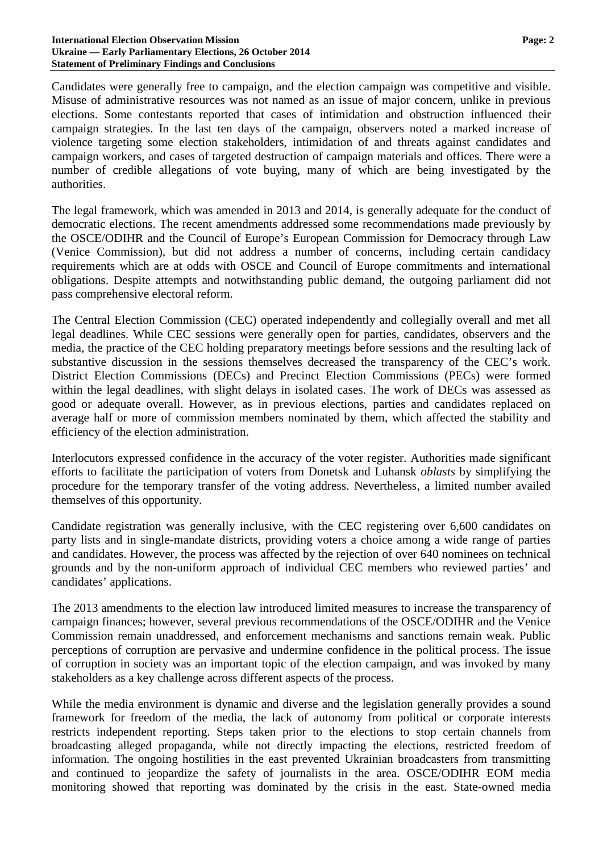### **International Election Observation Mission Page: 2 Ukraine — Early Parliamentary Elections, 26 October 2014 Statement of Preliminary Findings and Conclusions**

Candidates were generally free to campaign, and the election campaign was competitive and visible. Misuse of administrative resources was not named as an issue of major concern, unlike in previous elections. Some contestants reported that cases of intimidation and obstruction influenced their campaign strategies. In the last ten days of the campaign, observers noted a marked increase of violence targeting some election stakeholders, intimidation of and threats against candidates and campaign workers, and cases of targeted destruction of campaign materials and offices. There were a number of credible allegations of vote buying, many of which are being investigated by the authorities.

The legal framework, which was amended in 2013 and 2014, is generally adequate for the conduct of democratic elections. The recent amendments addressed some recommendations made previously by the OSCE/ODIHR and the Council of Europe's European Commission for Democracy through Law (Venice Commission), but did not address a number of concerns, including certain candidacy requirements which are at odds with OSCE and Council of Europe commitments and international obligations. Despite attempts and notwithstanding public demand, the outgoing parliament did not pass comprehensive electoral reform.

The Central Election Commission (CEC) operated independently and collegially overall and met all legal deadlines. While CEC sessions were generally open for parties, candidates, observers and the media, the practice of the CEC holding preparatory meetings before sessions and the resulting lack of substantive discussion in the sessions themselves decreased the transparency of the CEC's work. District Election Commissions (DECs) and Precinct Election Commissions (PECs) were formed within the legal deadlines, with slight delays in isolated cases. The work of DECs was assessed as good or adequate overall. However, as in previous elections, parties and candidates replaced on average half or more of commission members nominated by them, which affected the stability and efficiency of the election administration.

Interlocutors expressed confidence in the accuracy of the voter register. Authorities made significant efforts to facilitate the participation of voters from Donetsk and Luhansk *oblasts* by simplifying the procedure for the temporary transfer of the voting address. Nevertheless, a limited number availed themselves of this opportunity.

Candidate registration was generally inclusive, with the CEC registering over 6,600 candidates on party lists and in single-mandate districts, providing voters a choice among a wide range of parties and candidates. However, the process was affected by the rejection of over 640 nominees on technical grounds and by the non-uniform approach of individual CEC members who reviewed parties' and candidates' applications.

The 2013 amendments to the election law introduced limited measures to increase the transparency of campaign finances; however, several previous recommendations of the OSCE/ODIHR and the Venice Commission remain unaddressed, and enforcement mechanisms and sanctions remain weak. Public perceptions of corruption are pervasive and undermine confidence in the political process. The issue of corruption in society was an important topic of the election campaign, and was invoked by many stakeholders as a key challenge across different aspects of the process.

While the media environment is dynamic and diverse and the legislation generally provides a sound framework for freedom of the media, the lack of autonomy from political or corporate interests restricts independent reporting. Steps taken prior to the elections to stop certain channels from broadcasting alleged propaganda, while not directly impacting the elections, restricted freedom of information. The ongoing hostilities in the east prevented Ukrainian broadcasters from transmitting and continued to jeopardize the safety of journalists in the area. OSCE/ODIHR EOM media monitoring showed that reporting was dominated by the crisis in the east. State-owned media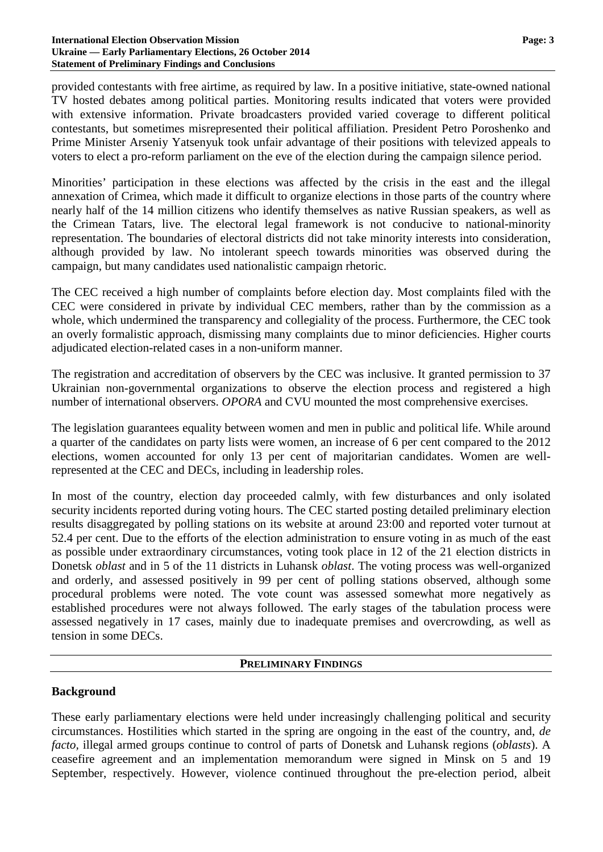### **International Election Observation Mission Page: 3 Ukraine — Early Parliamentary Elections, 26 October 2014 Statement of Preliminary Findings and Conclusions**

provided contestants with free airtime, as required by law. In a positive initiative, state-owned national TV hosted debates among political parties. Monitoring results indicated that voters were provided with extensive information. Private broadcasters provided varied coverage to different political contestants, but sometimes misrepresented their political affiliation. President Petro Poroshenko and Prime Minister Arseniy Yatsenyuk took unfair advantage of their positions with televized appeals to voters to elect a pro-reform parliament on the eve of the election during the campaign silence period.

Minorities' participation in these elections was affected by the crisis in the east and the illegal annexation of Crimea, which made it difficult to organize elections in those parts of the country where nearly half of the 14 million citizens who identify themselves as native Russian speakers, as well as the Crimean Tatars, live. The electoral legal framework is not conducive to national-minority representation. The boundaries of electoral districts did not take minority interests into consideration, although provided by law. No intolerant speech towards minorities was observed during the campaign, but many candidates used nationalistic campaign rhetoric.

The CEC received a high number of complaints before election day. Most complaints filed with the CEC were considered in private by individual CEC members, rather than by the commission as a whole, which undermined the transparency and collegiality of the process. Furthermore, the CEC took an overly formalistic approach, dismissing many complaints due to minor deficiencies. Higher courts adjudicated election-related cases in a non-uniform manner.

The registration and accreditation of observers by the CEC was inclusive. It granted permission to 37 Ukrainian non-governmental organizations to observe the election process and registered a high number of international observers. *OPORA* and CVU mounted the most comprehensive exercises.

The legislation guarantees equality between women and men in public and political life. While around a quarter of the candidates on party lists were women, an increase of 6 per cent compared to the 2012 elections, women accounted for only 13 per cent of majoritarian candidates. Women are wellrepresented at the CEC and DECs, including in leadership roles.

In most of the country, election day proceeded calmly, with few disturbances and only isolated security incidents reported during voting hours. The CEC started posting detailed preliminary election results disaggregated by polling stations on its website at around 23:00 and reported voter turnout at 52.4 per cent. Due to the efforts of the election administration to ensure voting in as much of the east as possible under extraordinary circumstances, voting took place in 12 of the 21 election districts in Donetsk *oblast* and in 5 of the 11 districts in Luhansk *oblast*. The voting process was well-organized and orderly, and assessed positively in 99 per cent of polling stations observed, although some procedural problems were noted. The vote count was assessed somewhat more negatively as established procedures were not always followed. The early stages of the tabulation process were assessed negatively in 17 cases, mainly due to inadequate premises and overcrowding, as well as tension in some DECs.

### **PRELIMINARY FINDINGS**

# **Background**

These early parliamentary elections were held under increasingly challenging political and security circumstances. Hostilities which started in the spring are ongoing in the east of the country, and, *de facto,* illegal armed groups continue to control of parts of Donetsk and Luhansk regions (*oblasts*). A ceasefire agreement and an implementation memorandum were signed in Minsk on 5 and 19 September, respectively. However, violence continued throughout the pre-election period, albeit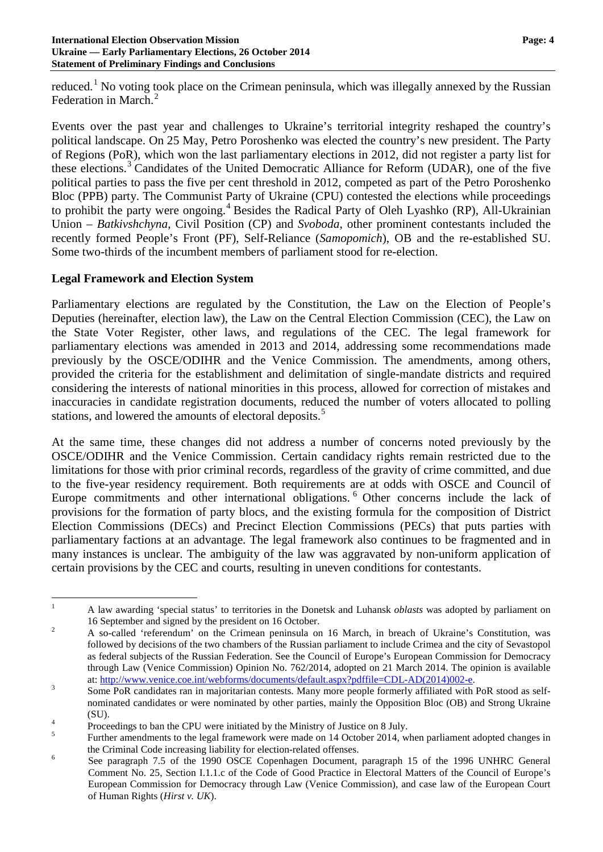### **International Election Observation Mission Page: 4 Ukraine — Early Parliamentary Elections, 26 October 2014 Statement of Preliminary Findings and Conclusions**

reduced.<sup>[1](#page-3-0)</sup> No voting took place on the Crimean peninsula, which was illegally annexed by the Russian Federation in March.<sup>[2](#page-3-1)</sup>

Events over the past year and challenges to Ukraine's territorial integrity reshaped the country's political landscape. On 25 May, Petro Poroshenko was elected the country's new president. The Party of Regions (PoR), which won the last parliamentary elections in 2012, did not register a party list for these elections.<sup>[3](#page-3-2)</sup> Candidates of the United Democratic Alliance for Reform (UDAR), one of the five political parties to pass the five per cent threshold in 2012, competed as part of the Petro Poroshenko Bloc (PPB) party. The Communist Party of Ukraine (CPU) contested the elections while proceedings to prohibit the party were ongoing.<sup>[4](#page-3-3)</sup> Besides the Radical Party of Oleh Lyashko (RP), All-Ukrainian Union – *Batkivshchyna*, Civil Position (CP) and *Svoboda*, other prominent contestants included the recently formed People's Front (PF), Self-Reliance (*Samopomich*), OB and the re-established SU. Some two-thirds of the incumbent members of parliament stood for re-election.

## **Legal Framework and Election System**

Parliamentary elections are regulated by the Constitution, the Law on the Election of People's Deputies (hereinafter, election law), the Law on the Central Election Commission (CEC), the Law on the State Voter Register, other laws, and regulations of the CEC. The legal framework for parliamentary elections was amended in 2013 and 2014, addressing some recommendations made previously by the OSCE/ODIHR and the Venice Commission. The amendments, among others, provided the criteria for the establishment and delimitation of single-mandate districts and required considering the interests of national minorities in this process, allowed for correction of mistakes and inaccuracies in candidate registration documents, reduced the number of voters allocated to polling stations, and lowered the amounts of electoral deposits.<sup>[5](#page-3-4)</sup>

At the same time, these changes did not address a number of concerns noted previously by the OSCE/ODIHR and the Venice Commission. Certain candidacy rights remain restricted due to the limitations for those with prior criminal records, regardless of the gravity of crime committed, and due to the five-year residency requirement. Both requirements are at odds with OSCE and Council of Europe commitments and other international obligations. <sup>[6](#page-3-5)</sup> Other concerns include the lack of provisions for the formation of party blocs, and the existing formula for the composition of District Election Commissions (DECs) and Precinct Election Commissions (PECs) that puts parties with parliamentary factions at an advantage. The legal framework also continues to be fragmented and in many instances is unclear. The ambiguity of the law was aggravated by non-uniform application of certain provisions by the CEC and courts, resulting in uneven conditions for contestants.

<span id="page-3-0"></span><sup>&</sup>lt;sup>1</sup> A law awarding 'special status' to territories in the Donetsk and Luhansk *oblasts* was adopted by parliament on 16 September and signed by the president on 16 October.<br>
<sup>2</sup> A so-called 'referendum' on the Crimean peninsula on 16 March, in breach of Ukraine's Constitution, was

<span id="page-3-1"></span>followed by decisions of the two chambers of the Russian parliament to include Crimea and the city of Sevastopol as federal subjects of the Russian Federation. See the Council of Europe's European Commission for Democracy through Law (Venice Commission) Opinion No. 762/2014, adopted on 21 March 2014. The opinion is available at: [http://www.venice.coe.int/webforms/documents/default.aspx?pdffile=CDL-AD\(2014\)002-e.](http://www.venice.coe.int/webforms/documents/default.aspx?pdffile=CDL-AD(2014)002-e)<br>
Some PoR candidates ran in majoritarian contests. Many more people formerly affiliated with PoR stood as self-

<span id="page-3-2"></span>nominated candidates or were nominated by other parties, mainly the Opposition Bloc (OB) and Strong Ukraine (SU).<br>  $\frac{4}{5}$  Proceedings to ban the CPU were initiated by the Ministry of Justice on 8 July.<br>  $\frac{5}{5}$  Further amendments to the legal framework were made on 14 October 2014, when parliament adopted changes in

<span id="page-3-3"></span>

<span id="page-3-4"></span>the Criminal Code increasing liability for election-related offenses.<br>
See paragraph 7.5 of the 1990 OSCE Copenhagen Document, paragraph 15 of the 1996 UNHRC General

<span id="page-3-5"></span>Comment No. 25, Section I.1.1.c of the Code of Good Practice in Electoral Matters of the Council of Europe's European Commission for Democracy through Law (Venice Commission), and case law of the European Court of Human Rights (*Hirst v. UK*).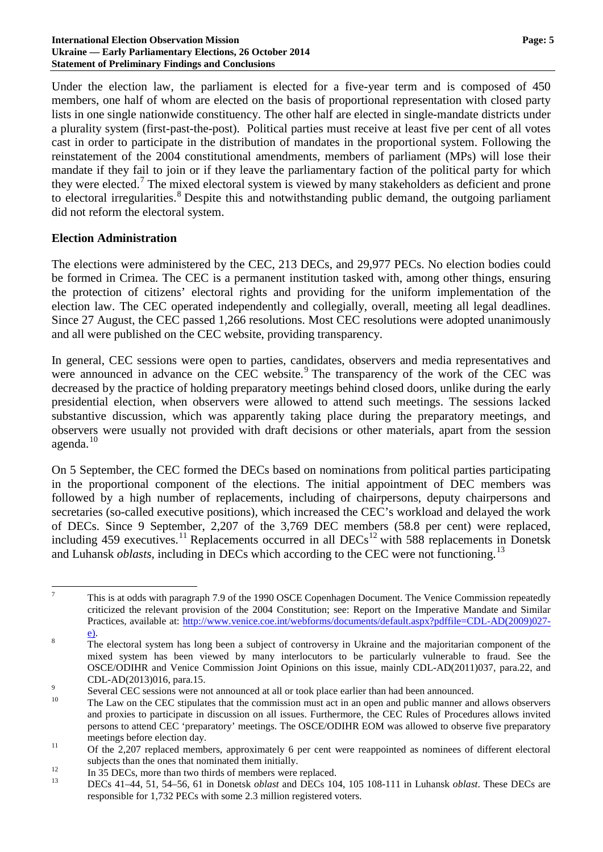### **International Election Observation Mission Page: 5 Ukraine — Early Parliamentary Elections, 26 October 2014 Statement of Preliminary Findings and Conclusions**

Under the election law, the parliament is elected for a five-year term and is composed of 450 members, one half of whom are elected on the basis of proportional representation with closed party lists in one single nationwide constituency. The other half are elected in single-mandate districts under a plurality system (first-past-the-post). Political parties must receive at least five per cent of all votes cast in order to participate in the distribution of mandates in the proportional system. Following the reinstatement of the 2004 constitutional amendments, members of parliament (MPs) will lose their mandate if they fail to join or if they leave the parliamentary faction of the political party for which they were elected.<sup>[7](#page-4-0)</sup> The mixed electoral system is viewed by many stakeholders as deficient and prone to electoral irregularities.<sup>[8](#page-4-1)</sup> Despite this and notwithstanding public demand, the outgoing parliament did not reform the electoral system.

## **Election Administration**

The elections were administered by the CEC, 213 DECs, and 29,977 PECs. No election bodies could be formed in Crimea. The CEC is a permanent institution tasked with, among other things, ensuring the protection of citizens' electoral rights and providing for the uniform implementation of the election law. The CEC operated independently and collegially, overall, meeting all legal deadlines. Since 27 August, the CEC passed 1,266 resolutions. Most CEC resolutions were adopted unanimously and all were published on the CEC website, providing transparency.

In general, CEC sessions were open to parties, candidates, observers and media representatives and were announced in advance on the CEC website.<sup>[9](#page-4-2)</sup> The transparency of the work of the CEC was decreased by the practice of holding preparatory meetings behind closed doors, unlike during the early presidential election, when observers were allowed to attend such meetings. The sessions lacked substantive discussion, which was apparently taking place during the preparatory meetings, and observers were usually not provided with draft decisions or other materials, apart from the session agenda.[10](#page-4-3)

On 5 September, the CEC formed the DECs based on nominations from political parties participating in the proportional component of the elections. The initial appointment of DEC members was followed by a high number of replacements, including of chairpersons, deputy chairpersons and secretaries (so-called executive positions), which increased the CEC's workload and delayed the work of DECs. Since 9 September, 2,207 of the 3,769 DEC members (58.8 per cent) were replaced, including 459 executives.<sup>[11](#page-4-4)</sup> Replacements occurred in all DECs<sup>[12](#page-4-5)</sup> with 588 replacements in Donetsk and Luhansk *oblasts*, including in DECs which according to the CEC were not functioning.<sup>[13](#page-4-6)</sup>

<span id="page-4-0"></span><sup>&</sup>lt;sup>7</sup> This is at odds with paragraph 7.9 of the 1990 OSCE Copenhagen Document. The Venice Commission repeatedly criticized the relevant provision of the 2004 Constitution; see: Report on the Imperative Mandate and Similar Practices, available at: [http://www.venice.coe.int/webforms/documents/default.aspx?pdffile=CDL-AD\(2009\)027-](http://www.venice.coe.int/webforms/documents/default.aspx?pdffile=CDL-AD(2009)027-e))

<span id="page-4-1"></span> $\overline{a}$ . The electoral system has long been a subject of controversy in Ukraine and the majoritarian component of the mixed system has been viewed by many interlocutors to be particularly vulnerable to fraud. See the OSCE/ODIHR and Venice Commission Joint Opinions on this issue, mainly CDL-AD(2011)037, para.22, and CDL-AD(2013)016, para.15.<br>Several CEC sessions were not announced at all or took place earlier than had been announced.<br>The Law on the CEC stipulates that the commission must act in an open and public manner and allows obs

<span id="page-4-2"></span>

<span id="page-4-3"></span>and proxies to participate in discussion on all issues. Furthermore, the CEC Rules of Procedures allows invited persons to attend CEC 'preparatory' meetings. The OSCE/ODIHR EOM was allowed to observe five preparatory meetings before election day.<br>
Of the 2,207 replaced members, approximately 6 per cent were reappointed as nominees of different electoral

<span id="page-4-4"></span>

<span id="page-4-6"></span><span id="page-4-5"></span>

subjects than the ones that nominated them initially.<br>
<sup>12</sup> In 35 DECs, more than two thirds of members were replaced.<br>
DECs 41–44, 51, 54–56, 61 in Donetsk *oblast* and DECs 104, 105 108-111 in Luhansk *oblast*. These DEC responsible for 1,732 PECs with some 2.3 million registered voters.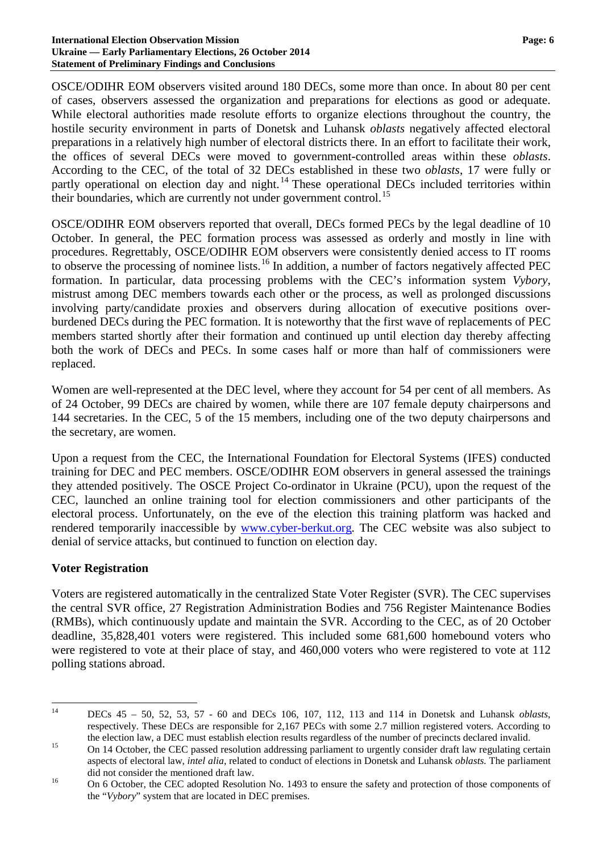### **International Election Observation Mission Page: 6 Ukraine — Early Parliamentary Elections, 26 October 2014 Statement of Preliminary Findings and Conclusions**

OSCE/ODIHR EOM observers visited around 180 DECs, some more than once. In about 80 per cent of cases, observers assessed the organization and preparations for elections as good or adequate. While electoral authorities made resolute efforts to organize elections throughout the country, the hostile security environment in parts of Donetsk and Luhansk *oblasts* negatively affected electoral preparations in a relatively high number of electoral districts there. In an effort to facilitate their work, the offices of several DECs were moved to government-controlled areas within these *oblasts*. According to the CEC, of the total of 32 DECs established in these two *oblasts*, 17 were fully or partly operational on election day and night.<sup>[14](#page-5-0)</sup> These operational DECs included territories within their boundaries, which are currently not under government control.<sup>[15](#page-5-1)</sup>

OSCE/ODIHR EOM observers reported that overall, DECs formed PECs by the legal deadline of 10 October. In general, the PEC formation process was assessed as orderly and mostly in line with procedures. Regrettably, OSCE/ODIHR EOM observers were consistently denied access to IT rooms to observe the processing of nominee lists.<sup>[16](#page-5-2)</sup> In addition, a number of factors negatively affected PEC formation. In particular, data processing problems with the CEC's information system *Vybory*, mistrust among DEC members towards each other or the process, as well as prolonged discussions involving party/candidate proxies and observers during allocation of executive positions overburdened DECs during the PEC formation. It is noteworthy that the first wave of replacements of PEC members started shortly after their formation and continued up until election day thereby affecting both the work of DECs and PECs. In some cases half or more than half of commissioners were replaced.

Women are well-represented at the DEC level, where they account for 54 per cent of all members. As of 24 October, 99 DECs are chaired by women, while there are 107 female deputy chairpersons and 144 secretaries. In the CEC, 5 of the 15 members, including one of the two deputy chairpersons and the secretary, are women.

Upon a request from the CEC, the International Foundation for Electoral Systems (IFES) conducted training for DEC and PEC members. OSCE/ODIHR EOM observers in general assessed the trainings they attended positively. The OSCE Project Co-ordinator in Ukraine (PCU), upon the request of the CEC, launched an online training tool for election commissioners and other participants of the electoral process. Unfortunately, on the eve of the election this training platform was hacked and rendered temporarily inaccessible by [www.cyber-berkut.org.](http://www.cyber-berkut.org/) The CEC website was also subject to denial of service attacks, but continued to function on election day.

# **Voter Registration**

Voters are registered automatically in the centralized State Voter Register (SVR). The CEC supervises the central SVR office, 27 Registration Administration Bodies and 756 Register Maintenance Bodies (RMBs), which continuously update and maintain the SVR. According to the CEC, as of 20 October deadline, 35,828,401 voters were registered. This included some 681,600 homebound voters who were registered to vote at their place of stay, and 460,000 voters who were registered to vote at 112 polling stations abroad.

<span id="page-5-0"></span> <sup>14</sup> DECs 45 – 50, 52, 53, 57 - <sup>60</sup> and DECs 106, 107, 112, 113 and 114 in Donetsk and Luhansk *oblasts*, respectively. These DECs are responsible for 2,167 PECs with some 2.7 million registered voters. According to the election law, a DEC must establish election results regardless of the number of precincts declared invalid.<br>On 14 October, the CEC passed resolution addressing parliament to urgently consider draft law regulating certa

<span id="page-5-1"></span>aspects of electoral law, *intel alia*, related to conduct of elections in Donetsk and Luhansk *oblasts.* The parliament

<span id="page-5-2"></span>did not consider the mentioned draft law.<br>On 6 October, the CEC adopted Resolution No. 1493 to ensure the safety and protection of those components of the "*Vybory*" system that are located in DEC premises.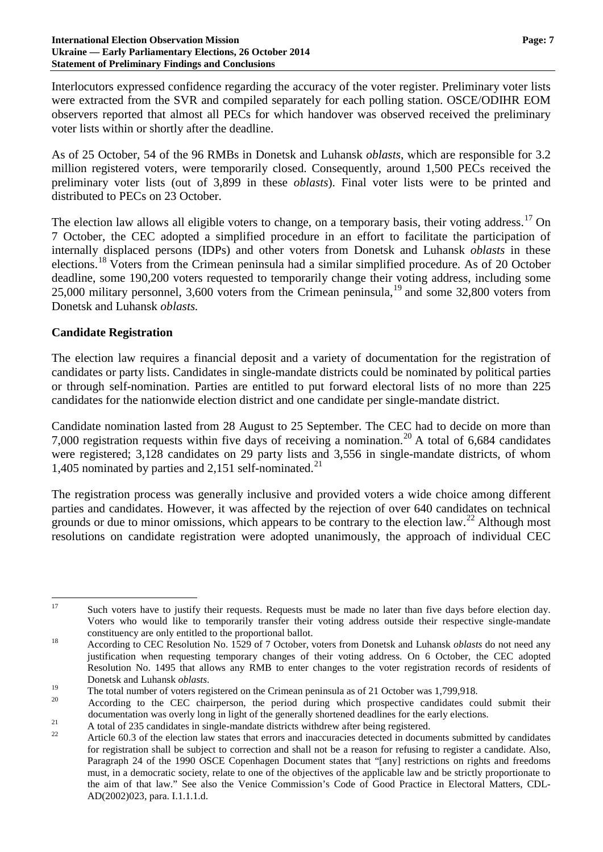### **International Election Observation Mission Page: 7 Ukraine — Early Parliamentary Elections, 26 October 2014 Statement of Preliminary Findings and Conclusions**

Interlocutors expressed confidence regarding the accuracy of the voter register. Preliminary voter lists were extracted from the SVR and compiled separately for each polling station. OSCE/ODIHR EOM observers reported that almost all PECs for which handover was observed received the preliminary voter lists within or shortly after the deadline.

As of 25 October, 54 of the 96 RMBs in Donetsk and Luhansk *oblasts*, which are responsible for 3.2 million registered voters, were temporarily closed. Consequently, around 1,500 PECs received the preliminary voter lists (out of 3,899 in these *oblasts*). Final voter lists were to be printed and distributed to PECs on 23 October.

The election law allows all eligible voters to change, on a temporary basis, their voting address.<sup>[17](#page-6-0)</sup> On 7 October, the CEC adopted a simplified procedure in an effort to facilitate the participation of internally displaced persons (IDPs) and other voters from Donetsk and Luhansk *oblasts* in these elections.<sup>[18](#page-6-1)</sup> Voters from the Crimean peninsula had a similar simplified procedure. As of 20 October deadline, some 190,200 voters requested to temporarily change their voting address, including some 25,000 military personnel, 3,600 voters from the Crimean peninsula, [19](#page-6-2) and some 32,800 voters from Donetsk and Luhansk *oblasts.*

# **Candidate Registration**

The election law requires a financial deposit and a variety of documentation for the registration of candidates or party lists. Candidates in single-mandate districts could be nominated by political parties or through self-nomination. Parties are entitled to put forward electoral lists of no more than 225 candidates for the nationwide election district and one candidate per single-mandate district.

Candidate nomination lasted from 28 August to 25 September. The CEC had to decide on more than 7,000 registration requests within five days of receiving a nomination.<sup>[20](#page-6-3)</sup> A total of 6,684 candidates were registered; 3,128 candidates on 29 party lists and 3,556 in single-mandate districts, of whom 1,405 nominated by parties and 2,151 self-nominated.<sup>[21](#page-6-4)</sup>

The registration process was generally inclusive and provided voters a wide choice among different parties and candidates. However, it was affected by the rejection of over 640 candidates on technical grounds or due to minor omissions, which appears to be contrary to the election law.<sup>[22](#page-6-5)</sup> Although most resolutions on candidate registration were adopted unanimously, the approach of individual CEC

<span id="page-6-0"></span><sup>&</sup>lt;sup>17</sup> Such voters have to justify their requests. Requests must be made no later than five days before election day. Voters who would like to temporarily transfer their voting address outside their respective single-mandate constituency are only entitled to the proportional ballot. <sup>18</sup> According to CEC Resolution No. 1529 of 7 October, voters from Donetsk and Luhansk *oblasts* do not need any

<span id="page-6-1"></span>justification when requesting temporary changes of their voting address. On 6 October, the CEC adopted Resolution No. 1495 that allows any RMB to enter changes to the voter registration records of residents of Donetsk and Luhansk *oblasts*.<br>The total number of voters registered on the Crimean peninsula as of 21 October was 1,799,918.<br>According to the CEC chairperson, the period during which prospective candidates could submit th

<span id="page-6-2"></span>

<span id="page-6-3"></span>documentation was overly long in light of the generally shortened deadlines for the early elections.<br>A total of 235 candidates in single-mandate districts withdrew after being registered.<br>Article 60.3 of the election law s

<span id="page-6-4"></span>

<span id="page-6-5"></span>for registration shall be subject to correction and shall not be a reason for refusing to register a candidate. Also, Paragraph 24 of the 1990 OSCE Copenhagen Document states that "[any] restrictions on rights and freedoms must, in a democratic society, relate to one of the objectives of the applicable law and be strictly proportionate to the aim of that law." See also the Venice Commission's Code of Good Practice in Electoral Matters, CDL-AD(2002)023, para. I.1.1.1.d.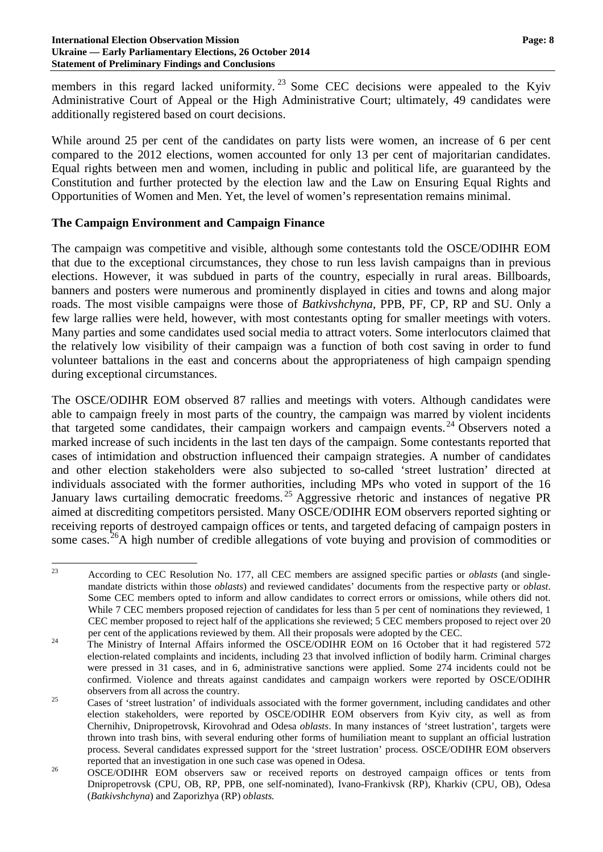members in this regard lacked uniformity.<sup>[23](#page-7-0)</sup> Some CEC decisions were appealed to the Kyiv Administrative Court of Appeal or the High Administrative Court; ultimately, 49 candidates were additionally registered based on court decisions.

While around 25 per cent of the candidates on party lists were women, an increase of 6 per cent compared to the 2012 elections, women accounted for only 13 per cent of majoritarian candidates. Equal rights between men and women, including in public and political life, are guaranteed by the Constitution and further protected by the election law and the Law on Ensuring Equal Rights and Opportunities of Women and Men. Yet, the level of women's representation remains minimal.

## **The Campaign Environment and Campaign Finance**

The campaign was competitive and visible, although some contestants told the OSCE/ODIHR EOM that due to the exceptional circumstances, they chose to run less lavish campaigns than in previous elections. However, it was subdued in parts of the country, especially in rural areas. Billboards, banners and posters were numerous and prominently displayed in cities and towns and along major roads. The most visible campaigns were those of *Batkivshchyna*, PPB, PF, CP, RP and SU. Only a few large rallies were held, however, with most contestants opting for smaller meetings with voters. Many parties and some candidates used social media to attract voters. Some interlocutors claimed that the relatively low visibility of their campaign was a function of both cost saving in order to fund volunteer battalions in the east and concerns about the appropriateness of high campaign spending during exceptional circumstances.

The OSCE/ODIHR EOM observed 87 rallies and meetings with voters. Although candidates were able to campaign freely in most parts of the country, the campaign was marred by violent incidents that targeted some candidates, their campaign workers and campaign events. [24](#page-7-1) Observers noted a marked increase of such incidents in the last ten days of the campaign. Some contestants reported that cases of intimidation and obstruction influenced their campaign strategies. A number of candidates and other election stakeholders were also subjected to so-called 'street lustration' directed at individuals associated with the former authorities, including MPs who voted in support of the 16 January laws curtailing democratic freedoms.<sup>[25](#page-7-2)</sup> Aggressive rhetoric and instances of negative PR aimed at discrediting competitors persisted. Many OSCE/ODIHR EOM observers reported sighting or receiving reports of destroyed campaign offices or tents, and targeted defacing of campaign posters in some cases.<sup>[26](#page-7-3)</sup>A high number of credible allegations of vote buying and provision of commodities or

<span id="page-7-0"></span> <sup>23</sup> According to CEC Resolution No. 177, all CEC members are assigned specific parties or *oblasts* (and singlemandate districts within those *oblasts*) and reviewed candidates' documents from the respective party or *oblast*. Some CEC members opted to inform and allow candidates to correct errors or omissions, while others did not. While 7 CEC members proposed rejection of candidates for less than 5 per cent of nominations they reviewed, 1 CEC member proposed to reject half of the applications she reviewed; 5 CEC members proposed to reject over 20

<span id="page-7-1"></span>per cent of the applications reviewed by them. All their proposals were adopted by the CEC.<br><sup>24</sup> The Ministry of Internal Affairs informed the OSCE/ODIHR EOM on 16 October that it had registered 572 election-related complaints and incidents, including 23 that involved infliction of bodily harm. Criminal charges were pressed in 31 cases, and in 6, administrative sanctions were applied. Some 274 incidents could not be confirmed. Violence and threats against candidates and campaign workers were reported by OSCE/ODIHR

<span id="page-7-2"></span> $\frac{25}{25}$  Cases of 'street lustration' of individuals associated with the former government, including candidates and other election stakeholders, were reported by OSCE/ODIHR EOM observers from Kyiv city, as well as from Chernihiv, Dnipropetrovsk, Kirovohrad and Odesa *oblasts*. In many instances of 'street lustration', targets were thrown into trash bins, with several enduring other forms of humiliation meant to supplant an official lustration process. Several candidates expressed support for the 'street lustration' process. OSCE/ODIHR EOM observers

<span id="page-7-3"></span>reported that an investigation in one such case was opened in Odesa. <sup>26</sup> OSCE/ODIHR EOM observers saw or received reports on destroyed campaign offices or tents from Dnipropetrovsk (CPU, OB, RP, PPB, one self-nominated), Ivano-Frankivsk (RP), Kharkiv (CPU, OB), Odesa (*Batkivshchyna*) and Zaporizhya (RP) *oblasts.*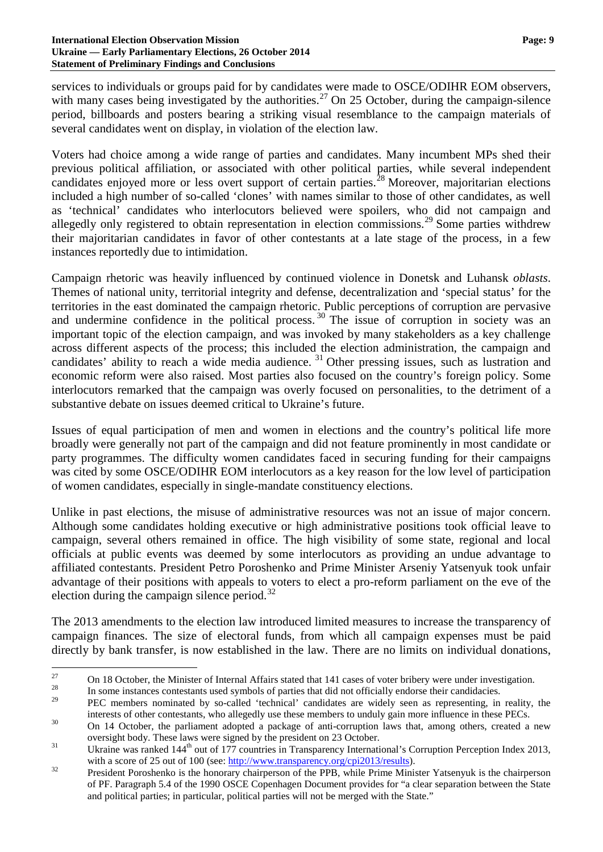### **International Election Observation Mission Page: 9 Ukraine — Early Parliamentary Elections, 26 October 2014 Statement of Preliminary Findings and Conclusions**

services to individuals or groups paid for by candidates were made to OSCE/ODIHR EOM observers, with many cases being investigated by the authorities.<sup>[27](#page-8-0)</sup> On 25 October, during the campaign-silence period, billboards and posters bearing a striking visual resemblance to the campaign materials of several candidates went on display, in violation of the election law.

Voters had choice among a wide range of parties and candidates. Many incumbent MPs shed their previous political affiliation, or associated with other political parties, while several independent candidates enjoyed more or less overt support of certain parties.<sup>[28](#page-8-1)</sup> Moreover, majoritarian elections included a high number of so-called 'clones' with names similar to those of other candidates, as well as 'technical' candidates who interlocutors believed were spoilers, who did not campaign and allegedly only registered to obtain representation in election commissions.<sup>[29](#page-8-2)</sup> Some parties withdrew their majoritarian candidates in favor of other contestants at a late stage of the process, in a few instances reportedly due to intimidation.

Campaign rhetoric was heavily influenced by continued violence in Donetsk and Luhansk *oblasts*. Themes of national unity, territorial integrity and defense, decentralization and 'special status' for the territories in the east dominated the campaign rhetoric. Public perceptions of corruption are pervasive and undermine confidence in the political process.<sup>[30](#page-8-3)</sup> The issue of corruption in society was an important topic of the election campaign, and was invoked by many stakeholders as a key challenge across different aspects of the process; this included the election administration, the campaign and candidates' ability to reach a wide media audience.  $31$  Other pressing issues, such as lustration and economic reform were also raised. Most parties also focused on the country's foreign policy. Some interlocutors remarked that the campaign was overly focused on personalities, to the detriment of a substantive debate on issues deemed critical to Ukraine's future.

Issues of equal participation of men and women in elections and the country's political life more broadly were generally not part of the campaign and did not feature prominently in most candidate or party programmes. The difficulty women candidates faced in securing funding for their campaigns was cited by some OSCE/ODIHR EOM interlocutors as a key reason for the low level of participation of women candidates, especially in single-mandate constituency elections.

Unlike in past elections, the misuse of administrative resources was not an issue of major concern. Although some candidates holding executive or high administrative positions took official leave to campaign, several others remained in office. The high visibility of some state, regional and local officials at public events was deemed by some interlocutors as providing an undue advantage to affiliated contestants. President Petro Poroshenko and Prime Minister Arseniy Yatsenyuk took unfair advantage of their positions with appeals to voters to elect a pro-reform parliament on the eve of the election during the campaign silence period.<sup>[32](#page-8-5)</sup>

The 2013 amendments to the election law introduced limited measures to increase the transparency of campaign finances. The size of electoral funds, from which all campaign expenses must be paid directly by bank transfer, is now established in the law. There are no limits on individual donations,

<span id="page-8-0"></span><sup>27</sup> On 18 October, the Minister of Internal Affairs stated that 141 cases of voter bribery were under investigation.<br>
In some instances contestants used symbols of parties that did not officially endorse their candidacies.

<span id="page-8-1"></span>

<span id="page-8-2"></span><sup>29</sup> PEC members nominated by so-called 'technical' candidates are widely seen as representing, in reality, the interests of other contestants, who allegedly use these members to unduly gain more influence in these PECs.<br>30 On 14 October, the parliament adopted a package of anti-corruption laws that, among others, created a new

<span id="page-8-3"></span>oversight body. These laws were signed by the president on 23 October.<br>
Ukraine was ranked 144<sup>th</sup> out of 177 countries in Transparency International's Corruption Perception Index 2013,

<span id="page-8-4"></span>with a score of 25 out of 100 (see: [http://www.transparency.org/cpi2013/results\)](http://www.transparency.org/cpi2013/results).<br><sup>32</sup> President Poroshenko is the honorary chairperson of the PPB, while Prime Minister Yatsenyuk is the chairperson

<span id="page-8-5"></span>of PF. Paragraph 5.4 of the 1990 OSCE Copenhagen Document provides for "a clear separation between the State and political parties; in particular, political parties will not be merged with the State."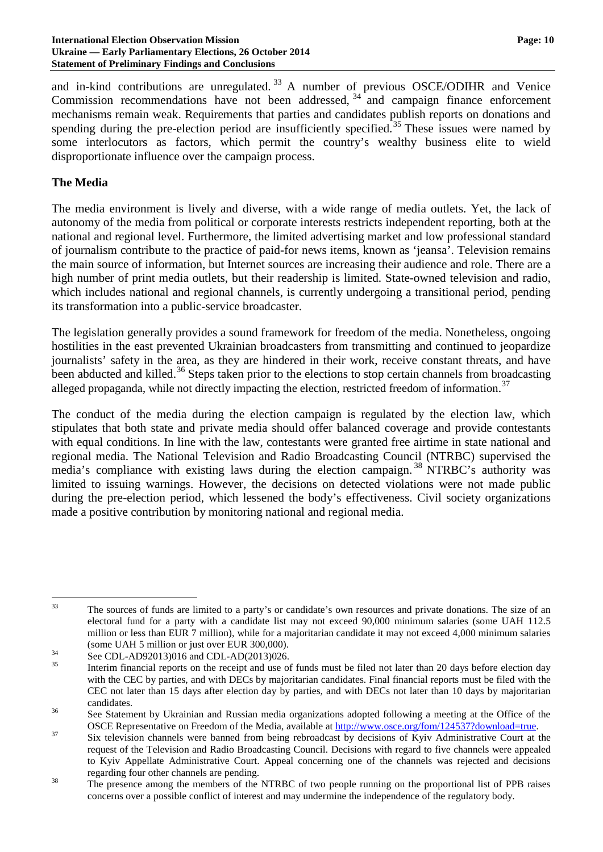### **International Election Observation Mission Page: 10 Ukraine — Early Parliamentary Elections, 26 October 2014 Statement of Preliminary Findings and Conclusions**

and in-kind contributions are unregulated. [33](#page-9-0) A number of previous OSCE/ODIHR and Venice Commission recommendations have not been addressed, [34](#page-9-1) and campaign finance enforcement mechanisms remain weak. Requirements that parties and candidates publish reports on donations and spending during the pre-election period are insufficiently specified.<sup>[35](#page-9-2)</sup> These issues were named by some interlocutors as factors, which permit the country's wealthy business elite to wield disproportionate influence over the campaign process.

## **The Media**

The media environment is lively and diverse, with a wide range of media outlets. Yet, the lack of autonomy of the media from political or corporate interests restricts independent reporting, both at the national and regional level. Furthermore, the limited advertising market and low professional standard of journalism contribute to the practice of paid-for news items, known as 'jeansa'. Television remains the main source of information, but Internet sources are increasing their audience and role. There are a high number of print media outlets, but their readership is limited. State-owned television and radio, which includes national and regional channels, is currently undergoing a transitional period, pending its transformation into a public-service broadcaster.

The legislation generally provides a sound framework for freedom of the media. Nonetheless, ongoing hostilities in the east prevented Ukrainian broadcasters from transmitting and continued to jeopardize journalists' safety in the area, as they are hindered in their work, receive constant threats, and have been abducted and killed.<sup>[36](#page-9-3)</sup> Steps taken prior to the elections to stop certain channels from broadcasting alleged propaganda, while not directly impacting the election, restricted freedom of information.<sup>[37](#page-9-4)</sup>

The conduct of the media during the election campaign is regulated by the election law, which stipulates that both state and private media should offer balanced coverage and provide contestants with equal conditions. In line with the law, contestants were granted free airtime in state national and regional media. The National Television and Radio Broadcasting Council (NTRBC) supervised the media's compliance with existing laws during the election campaign.<sup>[38](#page-9-5)</sup> NTRBC's authority was limited to issuing warnings. However, the decisions on detected violations were not made public during the pre-election period, which lessened the body's effectiveness. Civil society organizations made a positive contribution by monitoring national and regional media.

<span id="page-9-0"></span><sup>&</sup>lt;sup>33</sup> The sources of funds are limited to a party's or candidate's own resources and private donations. The size of an electoral fund for a party with a candidate list may not exceed 90,000 minimum salaries (some UAH 112.5 million or less than EUR 7 million), while for a majoritarian candidate it may not exceed 4,000 minimum salaries

<span id="page-9-2"></span><span id="page-9-1"></span>

<sup>(</sup>some UAH 5 million or just over EUR 300,000).<br>
See CDL-AD92013)016 and CDL-AD(2013)026.<br>
Interim financial reports on the receipt and use of funds must be filed not later than 20 days before election day with the CEC by parties, and with DECs by majoritarian candidates. Final financial reports must be filed with the CEC not later than 15 days after election day by parties, and with DECs not later than 10 days by majoritarian

<span id="page-9-3"></span>candidates.<br><sup>36</sup> See Statement by Ukrainian and Russian media organizations adopted following a meeting at the Office of the

<span id="page-9-4"></span>OSCE Representative on Freedom of the Media, available at [http://www.osce.org/fom/124537?download=true.](http://www.osce.org/fom/124537?download=true)<br>Six television channels were banned from being rebroadcast by decisions of Kyiv Administrative Court at the request of the Television and Radio Broadcasting Council. Decisions with regard to five channels were appealed to Kyiv Appellate Administrative Court. Appeal concerning one of the channels was rejected and decisions

<span id="page-9-5"></span>regarding four other channels are pending.<br><sup>38</sup> The presence among the members of the NTRBC of two people running on the proportional list of PPB raises concerns over a possible conflict of interest and may undermine the independence of the regulatory body.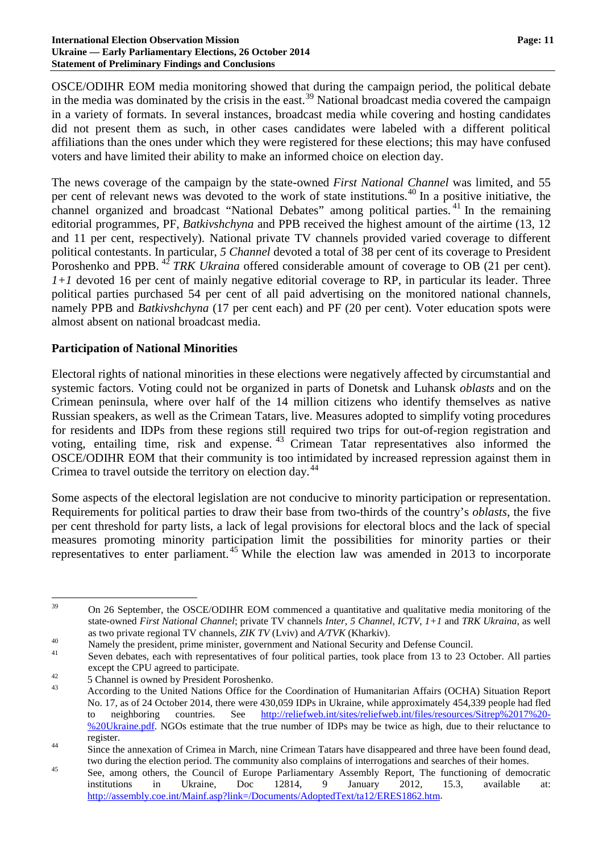### **International Election Observation Mission Page: 11 Ukraine — Early Parliamentary Elections, 26 October 2014 Statement of Preliminary Findings and Conclusions**

OSCE/ODIHR EOM media monitoring showed that during the campaign period, the political debate in the media was dominated by the crisis in the east.<sup>[39](#page-10-0)</sup> National broadcast media covered the campaign in a variety of formats. In several instances, broadcast media while covering and hosting candidates did not present them as such, in other cases candidates were labeled with a different political affiliations than the ones under which they were registered for these elections; this may have confused voters and have limited their ability to make an informed choice on election day.

The news coverage of the campaign by the state-owned *First National Channel* was limited, and 55 per cent of relevant news was devoted to the work of state institutions.<sup>[40](#page-10-1)</sup> In a positive initiative, the channel organized and broadcast "National Debates" among political parties. [41](#page-10-2) In the remaining editorial programmes, PF, *Batkivshchyna* and PPB received the highest amount of the airtime (13, 12 and 11 per cent, respectively). National private TV channels provided varied coverage to different political contestants. In particular, *5 Channel* devoted a total of 38 per cent of its coverage to President Poroshenko and PPB.<sup>[42](#page-10-3)</sup> *TRK Ukraina* offered considerable amount of coverage to OB (21 per cent). *1+1* devoted 16 per cent of mainly negative editorial coverage to RP, in particular its leader. Three political parties purchased 54 per cent of all paid advertising on the monitored national channels, namely PPB and *Batkivshchyna* (17 per cent each) and PF (20 per cent). Voter education spots were almost absent on national broadcast media.

### **Participation of National Minorities**

Electoral rights of national minorities in these elections were negatively affected by circumstantial and systemic factors. Voting could not be organized in parts of Donetsk and Luhansk *oblasts* and on the Crimean peninsula, where over half of the 14 million citizens who identify themselves as native Russian speakers, as well as the Crimean Tatars, live. Measures adopted to simplify voting procedures for residents and IDPs from these regions still required two trips for out-of-region registration and voting, entailing time, risk and expense. [43](#page-10-4) Crimean Tatar representatives also informed the OSCE/ODIHR EOM that their community is too intimidated by increased repression against them in Crimea to travel outside the territory on election day.<sup>[44](#page-10-5)</sup>

Some aspects of the electoral legislation are not conducive to minority participation or representation. Requirements for political parties to draw their base from two-thirds of the country's *oblasts*, the five per cent threshold for party lists, a lack of legal provisions for electoral blocs and the lack of special measures promoting minority participation limit the possibilities for minority parties or their representatives to enter parliament.<sup>[45](#page-10-6)</sup> While the election law was amended in 2013 to incorporate

<span id="page-10-0"></span><sup>&</sup>lt;sup>39</sup> On 26 September, the OSCE/ODIHR EOM commenced a quantitative and qualitative media monitoring of the state-owned *First National Channel*; private TV channels *Inter*, *5 Channel*, *ICTV*, *1+1* and *TRK Ukraina*, as well as two private regional TV channels, *ZIK TV* (Lviv) and *A/TVK* (Kharkiv).<br><sup>40</sup><br>Seven debates, each with representatives of four political parties, took place from 13 to 23 October. All parties

<span id="page-10-2"></span><span id="page-10-1"></span>

<span id="page-10-4"></span><span id="page-10-3"></span>

except the CPU agreed to participate.<br>
42 5 Channel is owned by President Poroshenko.<br>
43 According to the United Nations Office for the Coordination of Humanitarian Affairs (OCHA) Situation Report No. 17, as of 24 October 2014, there were 430,059 IDPs in Ukraine, while approximately 454,339 people had fled to neighboring countries. See [http://reliefweb.int/sites/reliefweb.int/files/resources/Sitrep%2017%20-](https://webmail.osce.org/owa/redir.aspx?C=1Gc4DKZOE02ubHAHRy8Han1327kNxNEIOnkpyqFUKYmy7K6oTK4AUVo130NA6rTv4UxXr83Ov_o.&URL=http%3a%2f%2freliefweb.int%2fsites%2freliefweb.int%2ffiles%2fresources%2fSitrep%252017%2520-%2520Ukraine.pdf) [%20Ukraine.pdf.](https://webmail.osce.org/owa/redir.aspx?C=1Gc4DKZOE02ubHAHRy8Han1327kNxNEIOnkpyqFUKYmy7K6oTK4AUVo130NA6rTv4UxXr83Ov_o.&URL=http%3a%2f%2freliefweb.int%2fsites%2freliefweb.int%2ffiles%2fresources%2fSitrep%252017%2520-%2520Ukraine.pdf) NGOs estimate that the true number of IDPs may be twice as high, due to their reluctance to

<span id="page-10-5"></span>register. <sup>44</sup> Since the annexation of Crimea in March, nine Crimean Tatars have disappeared and three have been found dead,

<span id="page-10-6"></span>two during the election period. The community also complains of interrogations and searches of their homes.<br>See, among others, the Council of Europe Parliamentary Assembly Report, The functioning of democratic institutions in Ukraine, Doc 12814, 9 January 2012, 15.3, available at: [http://assembly.coe.int/Mainf.asp?link=/Documents/AdoptedText/ta12/ERES1862.htm.](http://assembly.coe.int/Mainf.asp?link=/Documents/AdoptedText/ta12/ERES1862.htm)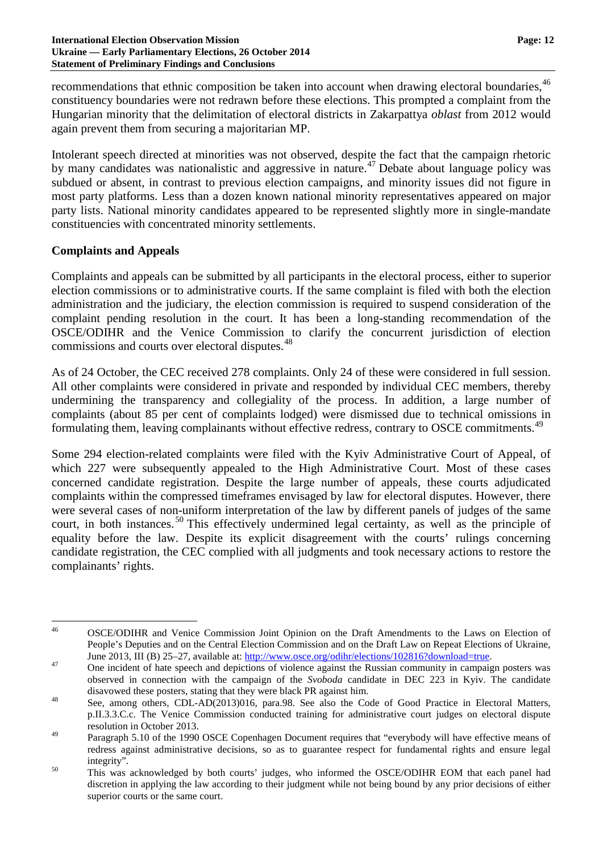### **International Election Observation Mission Page: 12 Ukraine — Early Parliamentary Elections, 26 October 2014 Statement of Preliminary Findings and Conclusions**

recommendations that ethnic composition be taken into account when drawing electoral boundaries, <sup>[46](#page-11-0)</sup> constituency boundaries were not redrawn before these elections. This prompted a complaint from the Hungarian minority that the delimitation of electoral districts in Zakarpattya *oblast* from 2012 would again prevent them from securing a majoritarian MP.

Intolerant speech directed at minorities was not observed, despite the fact that the campaign rhetoric by many candidates was nationalistic and aggressive in nature.<sup>[47](#page-11-1)</sup> Debate about language policy was subdued or absent, in contrast to previous election campaigns, and minority issues did not figure in most party platforms. Less than a dozen known national minority representatives appeared on major party lists. National minority candidates appeared to be represented slightly more in single-mandate constituencies with concentrated minority settlements.

## **Complaints and Appeals**

Complaints and appeals can be submitted by all participants in the electoral process, either to superior election commissions or to administrative courts. If the same complaint is filed with both the election administration and the judiciary, the election commission is required to suspend consideration of the complaint pending resolution in the court. It has been a long-standing recommendation of the OSCE/ODIHR and the Venice Commission to clarify the concurrent jurisdiction of election commissions and courts over electoral disputes.<sup>[48](#page-11-2)</sup>

As of 24 October, the CEC received 278 complaints. Only 24 of these were considered in full session. All other complaints were considered in private and responded by individual CEC members, thereby undermining the transparency and collegiality of the process. In addition, a large number of complaints (about 85 per cent of complaints lodged) were dismissed due to technical omissions in formulating them, leaving complainants without effective redress, contrary to OSCE commitments.<sup>[49](#page-11-3)</sup>

Some 294 election-related complaints were filed with the Kyiv Administrative Court of Appeal, of which 227 were subsequently appealed to the High Administrative Court. Most of these cases concerned candidate registration. Despite the large number of appeals, these courts adjudicated complaints within the compressed timeframes envisaged by law for electoral disputes. However, there were several cases of non-uniform interpretation of the law by different panels of judges of the same court, in both instances.<sup>[50](#page-11-4)</sup> This effectively undermined legal certainty, as well as the principle of equality before the law. Despite its explicit disagreement with the courts' rulings concerning candidate registration, the CEC complied with all judgments and took necessary actions to restore the complainants' rights.

<span id="page-11-0"></span> <sup>46</sup> OSCE/ODIHR and Venice Commission Joint Opinion on the Draft Amendments to the Laws on Election of People's Deputies and on the Central Election Commission and on the Draft Law on Repeat Elections of Ukraine,

<span id="page-11-1"></span>June 2013, III (B) 25–27, available at[: http://www.osce.org/odihr/elections/102816?download=true.](http://www.osce.org/odihr/elections/102816?download=true)<br>
One incident of hate speech and depictions of violence against the Russian community in campaign posters was observed in connection with the campaign of the *Svoboda* candidate in DEC 223 in Kyiv. The candidate disavowed these posters, stating that they were black PR against him.<br><sup>48</sup> See, among others, CDL-AD(2013)016, para.98. See also the Code of Good Practice in Electoral Matters,

<span id="page-11-2"></span>p.II.3.3.C.c. The Venice Commission conducted training for administrative court judges on electoral dispute resolution in October 2013.

<span id="page-11-3"></span><sup>&</sup>lt;sup>49</sup> Paragraph 5.10 of the 1990 OSCE Copenhagen Document requires that "everybody will have effective means of redress against administrative decisions, so as to guarantee respect for fundamental rights and ensure legal

<span id="page-11-4"></span><sup>&</sup>lt;sup>50</sup> integrity".<br><sup>50</sup> This was acknowledged by both courts' judges, who informed the OSCE/ODIHR EOM that each panel had discretion in applying the law according to their judgment while not being bound by any prior decisions of either superior courts or the same court.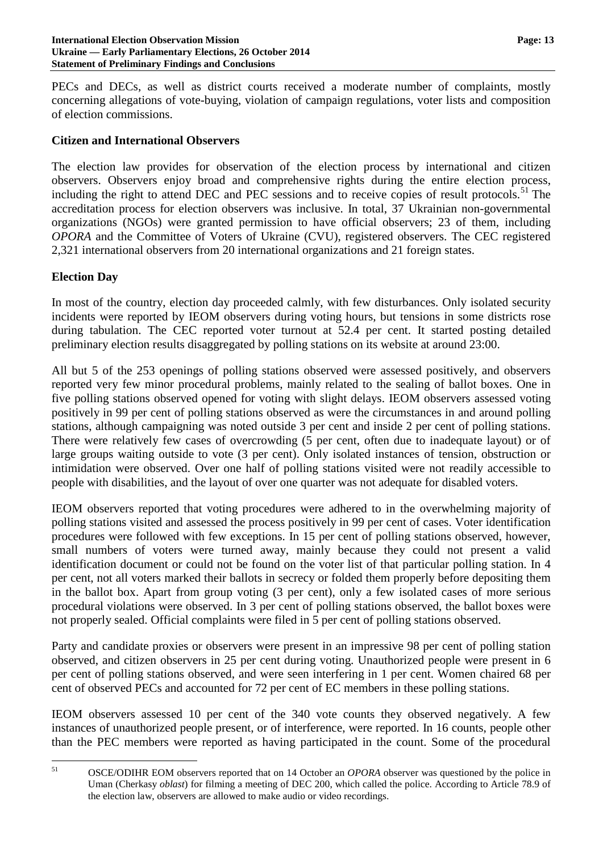PECs and DECs, as well as district courts received a moderate number of complaints, mostly concerning allegations of vote-buying, violation of campaign regulations, voter lists and composition of election commissions.

### **Citizen and International Observers**

The election law provides for observation of the election process by international and citizen observers. Observers enjoy broad and comprehensive rights during the entire election process, including the right to attend DEC and PEC sessions and to receive copies of result protocols. [51](#page-12-0) The accreditation process for election observers was inclusive. In total, 37 Ukrainian non-governmental organizations (NGOs) were granted permission to have official observers; 23 of them, including *OPORA* and the Committee of Voters of Ukraine (CVU), registered observers. The CEC registered 2,321 international observers from 20 international organizations and 21 foreign states.

### **Election Day**

In most of the country, election day proceeded calmly, with few disturbances. Only isolated security incidents were reported by IEOM observers during voting hours, but tensions in some districts rose during tabulation. The CEC reported voter turnout at 52.4 per cent. It started posting detailed preliminary election results disaggregated by polling stations on its website at around 23:00.

All but 5 of the 253 openings of polling stations observed were assessed positively, and observers reported very few minor procedural problems, mainly related to the sealing of ballot boxes. One in five polling stations observed opened for voting with slight delays. IEOM observers assessed voting positively in 99 per cent of polling stations observed as were the circumstances in and around polling stations, although campaigning was noted outside 3 per cent and inside 2 per cent of polling stations. There were relatively few cases of overcrowding (5 per cent, often due to inadequate layout) or of large groups waiting outside to vote (3 per cent). Only isolated instances of tension, obstruction or intimidation were observed. Over one half of polling stations visited were not readily accessible to people with disabilities, and the layout of over one quarter was not adequate for disabled voters.

IEOM observers reported that voting procedures were adhered to in the overwhelming majority of polling stations visited and assessed the process positively in 99 per cent of cases. Voter identification procedures were followed with few exceptions. In 15 per cent of polling stations observed, however, small numbers of voters were turned away, mainly because they could not present a valid identification document or could not be found on the voter list of that particular polling station. In 4 per cent, not all voters marked their ballots in secrecy or folded them properly before depositing them in the ballot box. Apart from group voting (3 per cent), only a few isolated cases of more serious procedural violations were observed. In 3 per cent of polling stations observed, the ballot boxes were not properly sealed. Official complaints were filed in 5 per cent of polling stations observed.

Party and candidate proxies or observers were present in an impressive 98 per cent of polling station observed, and citizen observers in 25 per cent during voting. Unauthorized people were present in 6 per cent of polling stations observed, and were seen interfering in 1 per cent. Women chaired 68 per cent of observed PECs and accounted for 72 per cent of EC members in these polling stations.

IEOM observers assessed 10 per cent of the 340 vote counts they observed negatively. A few instances of unauthorized people present, or of interference, were reported. In 16 counts, people other than the PEC members were reported as having participated in the count. Some of the procedural

<span id="page-12-0"></span> <sup>51</sup> OSCE/ODIHR EOM observers reported that on 14 October an *OPORA* observer was questioned by the police in Uman (Cherkasy *oblast*) for filming a meeting of DEC 200, which called the police. According to Article 78.9 of the election law, observers are allowed to make audio or video recordings.